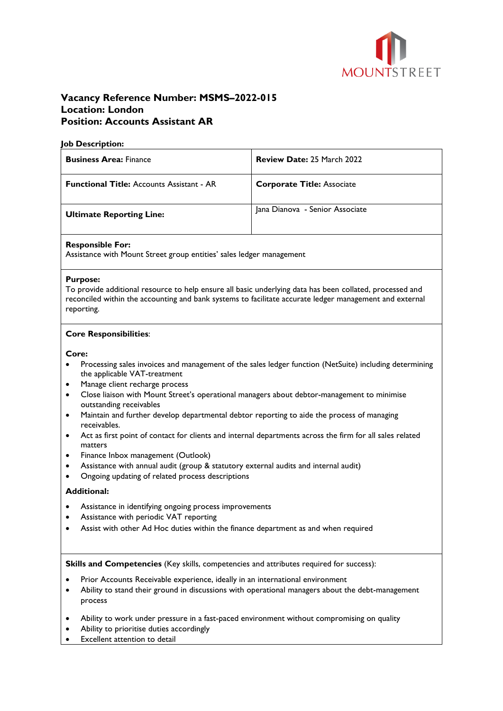

# **Vacancy Reference Number: MSMS–2022-015 Location: London Position: Accounts Assistant AR**

### **Job Description:**

| <b>Business Area: Finance</b>                    | <b>Review Date: 25 March 2022</b> |
|--------------------------------------------------|-----------------------------------|
| <b>Functional Title: Accounts Assistant - AR</b> | <b>Corporate Title: Associate</b> |
| <b>Ultimate Reporting Line:</b>                  | Jana Dianova - Senior Associate   |

## **Responsible For:**

Assistance with Mount Street group entities' sales ledger management

#### **Purpose:**

To provide additional resource to help ensure all basic underlying data has been collated, processed and reconciled within the accounting and bank systems to facilitate accurate ledger management and external reporting.

## **Core Responsibilities**:

**Core:**

- Processing sales invoices and management of the sales ledger function (NetSuite) including determining the applicable VAT-treatment
- Manage client recharge process
- Close liaison with Mount Street's operational managers about debtor-management to minimise outstanding receivables
- Maintain and further develop departmental debtor reporting to aide the process of managing receivables.
- Act as first point of contact for clients and internal departments across the firm for all sales related matters
- Finance Inbox management (Outlook)
- Assistance with annual audit (group & statutory external audits and internal audit)
- Ongoing updating of related process descriptions

## **Additional:**

- Assistance in identifying ongoing process improvements
- Assistance with periodic VAT reporting
- Assist with other Ad Hoc duties within the finance department as and when required

**Skills and Competencies** (Key skills, competencies and attributes required for success):

- Prior Accounts Receivable experience, ideally in an international environment
- Ability to stand their ground in discussions with operational managers about the debt-management process
- Ability to work under pressure in a fast-paced environment without compromising on quality
- Ability to prioritise duties accordingly
- **Excellent attention to detail**